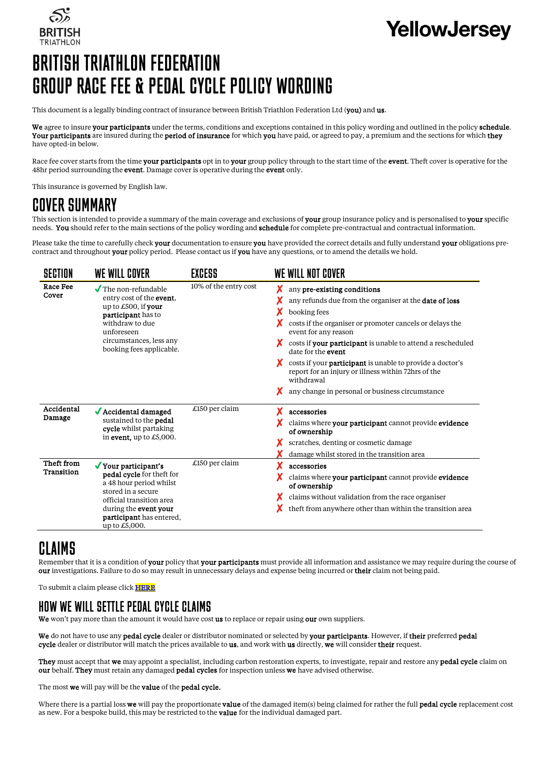

# **YellowJersev**

# BRITISH TRIATHLON FEDERATION GROUP RACE FEE & PEDAL CYCLE POLICY WORDING

This document is a legally binding contract of insurance between British Triathlon Federation Ltd (you) and us.

We agree to insure your participants under the terms, conditions and exceptions contained in this policy wording and outlined in the policy schedule. Your participants are insured during the period of insurance for which you have paid, or agreed to pay, a premium and the sections for which they have opted-in below.

Race fee cover starts from the time your participants opt in to your group policy through to the start time of the event. Theft cover is operative for the 48hr period surrounding the event. Damage cover is operative during the event only.

This insurance is governed by English law.

### COVER SUMMARY

This section is intended to provide a summary of the main coverage and exclusions of your group insurance policy and is personalised to your specific needs. You should refer to the main sections of the policy wording and schedule for complete pre-contractual and contractual information.

Please take the time to carefully check your documentation to ensure you have provided the correct details and fully understand your obligations precontract and throughout your policy period. Please contact us if you have any questions, or to amend the details we hold.

| SECTION                  | WE WILL COVER                                                                                                                                                                                        | EXCESS                | WE WILL NOT COVER                                                                                                                                                                                                                                                                                                                                                                                                                                                                                  |
|--------------------------|------------------------------------------------------------------------------------------------------------------------------------------------------------------------------------------------------|-----------------------|----------------------------------------------------------------------------------------------------------------------------------------------------------------------------------------------------------------------------------------------------------------------------------------------------------------------------------------------------------------------------------------------------------------------------------------------------------------------------------------------------|
| Race Fee<br>Cover        | $\sqrt{\ }$ The non-refundable<br>entry cost of the event.<br>up to £500, if your<br>participant has to<br>withdraw to due<br>unforeseen<br>circumstances, less any<br>booking fees applicable.      | 10% of the entry cost | any pre-existing conditions<br>any refunds due from the organiser at the <b>date of loss</b><br>booking fees<br>costs if the organiser or promoter cancels or delays the<br>event for any reason<br>costs if your participant is unable to attend a rescheduled<br>х<br>date for the <b>event</b><br>x<br>costs if your <b>participant</b> is unable to provide a doctor's<br>report for an injury or illness within 72hrs of the<br>withdrawal<br>any change in personal or business circumstance |
| Accidental<br>Damage     | $\sqrt{\text{Accidental damaged}}$<br>sustained to the <b>pedal</b><br>cycle whilst partaking<br>in event, up to $£5,000$ .                                                                          | £150 per claim        | accessories<br>claims where your participant cannot provide evidence<br>of ownership<br>scratches, denting or cosmetic damage<br>damage whilst stored in the transition area                                                                                                                                                                                                                                                                                                                       |
| Theft from<br>Transition | ✔ Your participant's<br>pedal cycle for theft for<br>a 48 hour period whilst<br>stored in a secure<br>official transition area<br>during the event your<br>participant has entered,<br>up to £5,000. | £150 per claim        | accessories<br>claims where your participant cannot provide evidence<br>of ownership<br>claims without validation from the race organiser<br>theft from anywhere other than within the transition area                                                                                                                                                                                                                                                                                             |

### **CLAIMS**

Remember that it is a condition of your policy that your participants must provide all information and assistance we may require during the course of our investigations. Failure to do so may result in unnecessary delays and expense being incurred or their claim not being paid.

To submit a claim please click **HERE** 

### HOW WE WILL SETTLE PEDAL CYCLE CLAIMS

We won't pay more than the amount it would have cost us to replace or repair using our own suppliers.

We do not have to use any pedal cycle dealer or distributor nominated or selected by your participants. However, if their preferred pedal cycle dealer or distributor will match the prices available to **us**, and work with **us** directly, we will consider their request.

They must accept that we may appoint a specialist, including carbon restoration experts, to investigate, repair and restore any pedal cycle claim on our behalf. They must retain any damaged pedal cycles for inspection unless we have advised otherwise.

The most we will pay will be the value of the pedal cycle.

Where there is a partial loss we will pay the proportionate value of the damaged item(s) being claimed for rather the full pedal cycle replacement cost as new. For a bespoke build, this may be restricted to the **value** for the individual damaged part.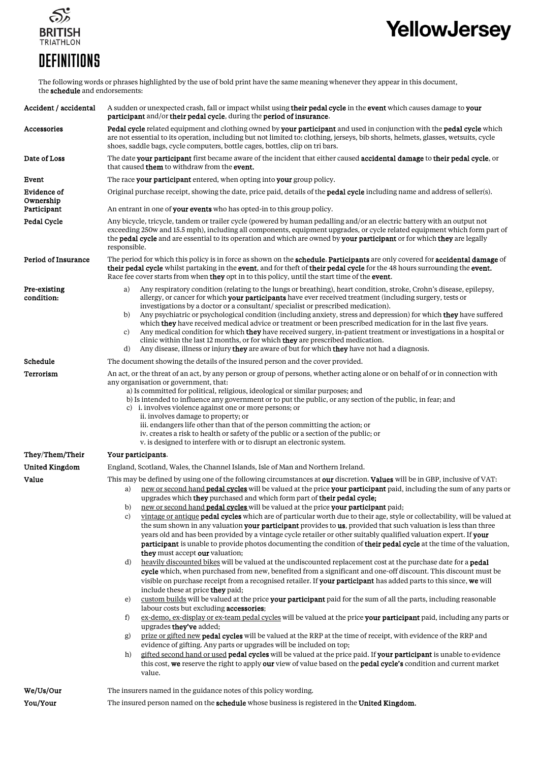

# YellowJersey

## **DEFINITIONS**

The following words or phrases highlighted by the use of bold print have the same meaning whenever they appear in this document, the **schedule** and endorsements:

| Accident / accidental      | A sudden or unexpected crash, fall or impact whilst using their pedal cycle in the event which causes damage to your<br>participant and/or their pedal cycle, during the period of insurance.                                                                                                                                                                                                                                                                                                                                                                                                                                                                                                                                                                                                                                                                                                                                                                                                                                                                                                                                                                                                                                                                                                                                                                                                                                                                                                                                                                                                                                                                                                                                                                                                                                                                                                                                                                                                                                                                                                                                                                                                         |  |  |
|----------------------------|-------------------------------------------------------------------------------------------------------------------------------------------------------------------------------------------------------------------------------------------------------------------------------------------------------------------------------------------------------------------------------------------------------------------------------------------------------------------------------------------------------------------------------------------------------------------------------------------------------------------------------------------------------------------------------------------------------------------------------------------------------------------------------------------------------------------------------------------------------------------------------------------------------------------------------------------------------------------------------------------------------------------------------------------------------------------------------------------------------------------------------------------------------------------------------------------------------------------------------------------------------------------------------------------------------------------------------------------------------------------------------------------------------------------------------------------------------------------------------------------------------------------------------------------------------------------------------------------------------------------------------------------------------------------------------------------------------------------------------------------------------------------------------------------------------------------------------------------------------------------------------------------------------------------------------------------------------------------------------------------------------------------------------------------------------------------------------------------------------------------------------------------------------------------------------------------------------|--|--|
| Accessories                | Pedal cycle related equipment and clothing owned by your participant and used in conjunction with the pedal cycle which<br>are not essential to its operation, including but not limited to: clothing, jerseys, bib shorts, helmets, glasses, wetsuits, cycle<br>shoes, saddle bags, cycle computers, bottle cages, bottles, clip on tri bars.                                                                                                                                                                                                                                                                                                                                                                                                                                                                                                                                                                                                                                                                                                                                                                                                                                                                                                                                                                                                                                                                                                                                                                                                                                                                                                                                                                                                                                                                                                                                                                                                                                                                                                                                                                                                                                                        |  |  |
| Date of Loss               | The date your participant first became aware of the incident that either caused accidental damage to their pedal cycle, or<br>that caused <b>them</b> to withdraw from the <b>event</b> .                                                                                                                                                                                                                                                                                                                                                                                                                                                                                                                                                                                                                                                                                                                                                                                                                                                                                                                                                                                                                                                                                                                                                                                                                                                                                                                                                                                                                                                                                                                                                                                                                                                                                                                                                                                                                                                                                                                                                                                                             |  |  |
| Event                      | The race your participant entered, when opting into your group policy.                                                                                                                                                                                                                                                                                                                                                                                                                                                                                                                                                                                                                                                                                                                                                                                                                                                                                                                                                                                                                                                                                                                                                                                                                                                                                                                                                                                                                                                                                                                                                                                                                                                                                                                                                                                                                                                                                                                                                                                                                                                                                                                                |  |  |
| Evidence of<br>Ownership   | Original purchase receipt, showing the date, price paid, details of the <b>pedal cycle</b> including name and address of seller(s).                                                                                                                                                                                                                                                                                                                                                                                                                                                                                                                                                                                                                                                                                                                                                                                                                                                                                                                                                                                                                                                                                                                                                                                                                                                                                                                                                                                                                                                                                                                                                                                                                                                                                                                                                                                                                                                                                                                                                                                                                                                                   |  |  |
| Participant                | An entrant in one of <b>your events</b> who has opted-in to this group policy.                                                                                                                                                                                                                                                                                                                                                                                                                                                                                                                                                                                                                                                                                                                                                                                                                                                                                                                                                                                                                                                                                                                                                                                                                                                                                                                                                                                                                                                                                                                                                                                                                                                                                                                                                                                                                                                                                                                                                                                                                                                                                                                        |  |  |
| Pedal Cycle                | Any bicycle, tricycle, tandem or trailer cycle (powered by human pedalling and/or an electric battery with an output not<br>exceeding 250w and 15.5 mph), including all components, equipment upgrades, or cycle related equipment which form part of<br>the pedal cycle and are essential to its operation and which are owned by your participant or for which they are legally<br>responsible.                                                                                                                                                                                                                                                                                                                                                                                                                                                                                                                                                                                                                                                                                                                                                                                                                                                                                                                                                                                                                                                                                                                                                                                                                                                                                                                                                                                                                                                                                                                                                                                                                                                                                                                                                                                                     |  |  |
| Period of Insurance        | The period for which this policy is in force as shown on the schedule. Participants are only covered for accidental damage of<br>their pedal cycle whilst partaking in the event, and for theft of their pedal cycle for the 48 hours surrounding the event.<br>Race fee cover starts from when <b>they</b> opt in to this policy, until the start time of the <b>event</b> .                                                                                                                                                                                                                                                                                                                                                                                                                                                                                                                                                                                                                                                                                                                                                                                                                                                                                                                                                                                                                                                                                                                                                                                                                                                                                                                                                                                                                                                                                                                                                                                                                                                                                                                                                                                                                         |  |  |
| Pre-existing<br>condition: | Any respiratory condition (relating to the lungs or breathing), heart condition, stroke, Crohn's disease, epilepsy,<br>a)<br>allergy, or cancer for which your participants have ever received treatment (including surgery, tests or<br>investigations by a doctor or a consultant/specialist or prescribed medication).<br>Any psychiatric or psychological condition (including anxiety, stress and depression) for which <b>they</b> have suffered<br>b)<br>which they have received medical advice or treatment or been prescribed medication for in the last five years.<br>Any medical condition for which they have received surgery, in-patient treatment or investigations in a hospital or<br>c)<br>clinic within the last 12 months, or for which they are prescribed medication.<br>Any disease, illness or injury they are aware of but for which they have not had a diagnosis.<br>d)                                                                                                                                                                                                                                                                                                                                                                                                                                                                                                                                                                                                                                                                                                                                                                                                                                                                                                                                                                                                                                                                                                                                                                                                                                                                                                  |  |  |
| Schedule                   | The document showing the details of the insured person and the cover provided.                                                                                                                                                                                                                                                                                                                                                                                                                                                                                                                                                                                                                                                                                                                                                                                                                                                                                                                                                                                                                                                                                                                                                                                                                                                                                                                                                                                                                                                                                                                                                                                                                                                                                                                                                                                                                                                                                                                                                                                                                                                                                                                        |  |  |
| Terrorism                  | An act, or the threat of an act, by any person or group of persons, whether acting alone or on behalf of or in connection with<br>any organisation or government, that:<br>a) Is committed for political, religious, ideological or similar purposes; and<br>b) Is intended to influence any government or to put the public, or any section of the public, in fear, and<br>c) i. involves violence against one or more persons; or<br>ii. involves damage to property; or<br>iii. endangers life other than that of the person committing the action; or<br>iv. creates a risk to health or safety of the public or a section of the public; or<br>v. is designed to interfere with or to disrupt an electronic system.                                                                                                                                                                                                                                                                                                                                                                                                                                                                                                                                                                                                                                                                                                                                                                                                                                                                                                                                                                                                                                                                                                                                                                                                                                                                                                                                                                                                                                                                              |  |  |
| They/Them/Their            | Your participants.                                                                                                                                                                                                                                                                                                                                                                                                                                                                                                                                                                                                                                                                                                                                                                                                                                                                                                                                                                                                                                                                                                                                                                                                                                                                                                                                                                                                                                                                                                                                                                                                                                                                                                                                                                                                                                                                                                                                                                                                                                                                                                                                                                                    |  |  |
| <b>United Kingdom</b>      | England, Scotland, Wales, the Channel Islands, Isle of Man and Northern Ireland.                                                                                                                                                                                                                                                                                                                                                                                                                                                                                                                                                                                                                                                                                                                                                                                                                                                                                                                                                                                                                                                                                                                                                                                                                                                                                                                                                                                                                                                                                                                                                                                                                                                                                                                                                                                                                                                                                                                                                                                                                                                                                                                      |  |  |
| Value                      | This may be defined by using one of the following circumstances at our discretion. Values will be in GBP, inclusive of VAT:<br>new or second hand <b>pedal cycles</b> will be valued at the price <b>your participant</b> paid, including the sum of any parts or<br>a)<br>upgrades which they purchased and which form part of their pedal cycle;<br>new or second hand <b>pedal cycles</b> will be valued at the price your participant paid;<br>b)<br>vintage or antique pedal cycles which are of particular worth due to their age, style or collectability, will be valued at<br>c)<br>the sum shown in any valuation your participant provides to us, provided that such valuation is less than three<br>years old and has been provided by a vintage cycle retailer or other suitably qualified valuation expert. If your<br>participant is unable to provide photos documenting the condition of their pedal cycle at the time of the valuation,<br>they must accept our valuation;<br>heavily discounted bikes will be valued at the undiscounted replacement cost at the purchase date for a <b>pedal</b><br>d)<br>cycle which, when purchased from new, benefited from a significant and one-off discount. This discount must be<br>visible on purchase receipt from a recognised retailer. If your participant has added parts to this since, we will<br>include these at price they paid;<br>custom builds will be valued at the price your participant paid for the sum of all the parts, including reasonable<br>e)<br>labour costs but excluding accessories;<br>ex-demo, ex-display or ex-team pedal cycles will be valued at the price your participant paid, including any parts or<br>f)<br>upgrades they've added;<br>prize or gifted new pedal cycles will be valued at the RRP at the time of receipt, with evidence of the RRP and<br>g)<br>evidence of gifting. Any parts or upgrades will be included on top;<br>gifted second hand or used pedal cycles will be valued at the price paid. If your participant is unable to evidence<br>h)<br>this cost, we reserve the right to apply our view of value based on the pedal cycle's condition and current market<br>value. |  |  |
| We/Us/Our                  | The insurers named in the guidance notes of this policy wording.                                                                                                                                                                                                                                                                                                                                                                                                                                                                                                                                                                                                                                                                                                                                                                                                                                                                                                                                                                                                                                                                                                                                                                                                                                                                                                                                                                                                                                                                                                                                                                                                                                                                                                                                                                                                                                                                                                                                                                                                                                                                                                                                      |  |  |
| You/Your                   | The insured person named on the <b>schedule</b> whose business is registered in the <b>United Kingdom.</b>                                                                                                                                                                                                                                                                                                                                                                                                                                                                                                                                                                                                                                                                                                                                                                                                                                                                                                                                                                                                                                                                                                                                                                                                                                                                                                                                                                                                                                                                                                                                                                                                                                                                                                                                                                                                                                                                                                                                                                                                                                                                                            |  |  |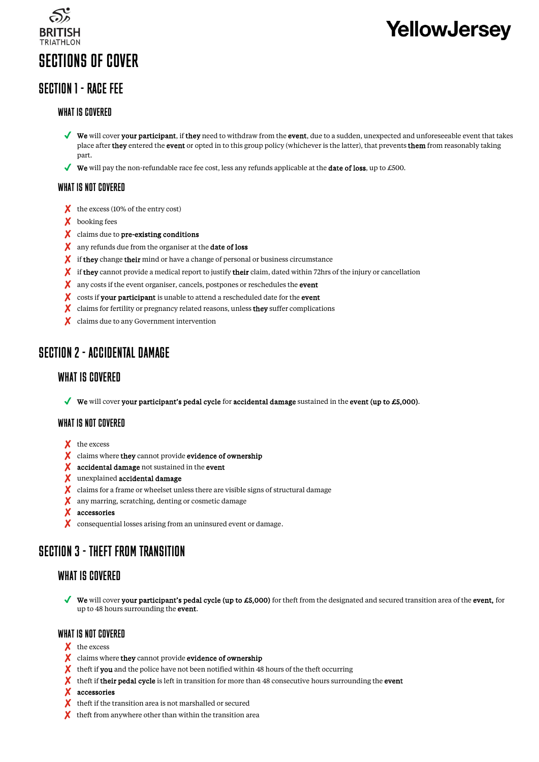

# **YellowJersey**

### SECTION 1 - RACE FFF

### WHAT IS COVERED

- $\blacklozenge$  We will cover your participant, if they need to withdraw from the event, due to a sudden, unexpected and unforeseeable event that takes place after **they** entered the **event** or opted in to this group policy (whichever is the latter), that prevents **them** from reasonably taking part.
- $✓$  We will pay the non-refundable race fee cost, less any refunds applicable at the **date of loss**, up to £500.

### WHAT IS NOT COVERED

- X the excess (10% of the entry cost)
- ✘ booking fees
- X claims due to pre-existing conditions
- X any refunds due from the organiser at the **date of loss**
- ✘ if they change their mind or have a change of personal or business circumstance
- $\bm{\chi}$  if they cannot provide a medical report to justify their claim, dated within 72hrs of the injury or cancellation
- X any costs if the event organiser, cancels, postpones or reschedules the **event**
- X costs if your participant is unable to attend a rescheduled date for the event
- X claims for fertility or pregnancy related reasons, unless they suffer complications
- ✘ claims due to any Government intervention

### SECTION 2 - ACCIDENTAL DAMAGE

### WHAT IS COVERED

**We** will cover your participant's pedal cycle for accidental damage sustained in the event (up to £5,000).

### WHAT IS NOT COVERED

- X the excess
- X claims where they cannot provide evidence of ownership
- X accidental damage not sustained in the event
- ✘ unexplained accidental damage
- X claims for a frame or wheelset unless there are visible signs of structural damage
- ✘ any marring, scratching, denting or cosmetic damage
- ✘ accessories
- ✘ consequential losses arising from an uninsured event or damage.

### SECTION 3 - THEFT FROM TRANSITION

### WHAT IS COVERED

◆ We will cover your participant's pedal cycle (up to £5,000) for theft from the designated and secured transition area of the event, for up to 48 hours surrounding the event.

### WHAT IS NOT COVERED

- X the excess
- X claims where they cannot provide evidence of ownership
- $\chi$  theft if you and the police have not been notified within 48 hours of the theft occurring
- ✘ theft if their pedal cycle is left in transition for more than 48 consecutive hours surrounding the event
- ✘ accessories
- ✘ theft if the transition area is not marshalled or secured
- $\boldsymbol{\chi}$  theft from anywhere other than within the transition area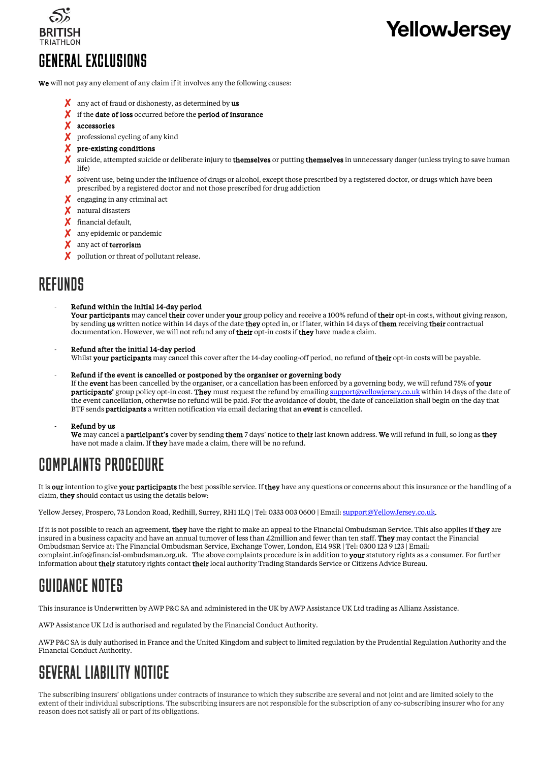

# **YellowJersev**

## GENERAL EXCLUSIONS

We will not pay any element of any claim if it involves any the following causes:

- $\boldsymbol{\chi}$  any act of fraud or dishonesty, as determined by us
- X if the date of loss occurred before the period of insurance
- ✘ accessories

✘ professional cycling of any kind

- ✘ pre-existing conditions
- ✘ suicide, attempted suicide or deliberate injury to themselves or putting themselves in unnecessary danger (unless trying to save human life)
- ✘ solvent use, being under the influence of drugs or alcohol, except those prescribed by a registered doctor, or drugs which have been prescribed by a registered doctor and not those prescribed for drug addiction
- X engaging in any criminal act
- ✘ natural disasters
- ✘ financial default,
- X any epidemic or pandemic
- X any act of terrorism
- X pollution or threat of pollutant release.

### **REFIINDS**

- Refund within the initial 14-day period Your participants may cancel their cover under your group policy and receive a 100% refund of their opt-in costs, without giving reason, by sending us written notice within 14 days of the date they opted in, or if later, within 14 days of them receiving their contractual documentation. However, we will not refund any of their opt-in costs if they have made a claim.
- Refund after the initial 14-day period Whilst your participants may cancel this cover after the 14-day cooling-off period, no refund of their opt-in costs will be payable.
- Refund if the event is cancelled or postponed by the organiser or governing body

If the event has been cancelled by the organiser, or a cancellation has been enforced by a governing body, we will refund 75% of your participants' group policy opt-in cost. They must request the refund by emailin[g support@yellowjersey.co.uk](mailto:support@yellowjersey.co.uk) within 14 days of the date of the event cancellation, otherwise no refund will be paid. For the avoidance of doubt, the date of cancellation shall begin on the day that BTF sends **participants** a written notification via email declaring that an **event** is cancelled.

Refund by us

We may cancel a **participant's** cover by sending them 7 days' notice to their last known address. We will refund in full, so long as they have not made a claim. If they have made a claim, there will be no refund.

## COMPLAINTS PROCEDURE

It is our intention to give your participants the best possible service. If they have any questions or concerns about this insurance or the handling of a claim, they should contact us using the details below:

Yellow Jersey, Prospero, 73 London Road, Redhill, Surrey, RH1 1LQ | Tel: 0333 003 0600 | Email[: support@YellowJersey.co.uk.](mailto:support@YellowJersey.co.uk)

If it is not possible to reach an agreement, they have the right to make an appeal to the Financial Ombudsman Service. This also applies if they are insured in a business capacity and have an annual turnover of less than  $\pounds 2$ million and fewer than ten staff. They may contact the Financial Ombudsman Service at: The Financial Ombudsman Service, Exchange Tower, London, E14 9SR | Tel: 0300 123 9 123 | Email: complaint.info@financial-ombudsman.org.uk. The above complaints procedure is in addition to your statutory rights as a consumer. For further information about their statutory rights contact their local authority Trading Standards Service or Citizens Advice Bureau.

## GUIDANCE NOTES

This insurance is Underwritten by AWP P&C SA and administered in the UK by AWP Assistance UK Ltd trading as Allianz Assistance.

AWP Assistance UK Ltd is authorised and regulated by the Financial Conduct Authority.

AWP P&C SA is duly authorised in France and the United Kingdom and subject to limited regulation by the Prudential Regulation Authority and the Financial Conduct Authority.

## SEVERAL LIABILITY NOTICE

The subscribing insurers' obligations under contracts of insurance to which they subscribe are several and not joint and are limited solely to the extent of their individual subscriptions. The subscribing insurers are not responsible for the subscription of any co-subscribing insurer who for any reason does not satisfy all or part of its obligations.